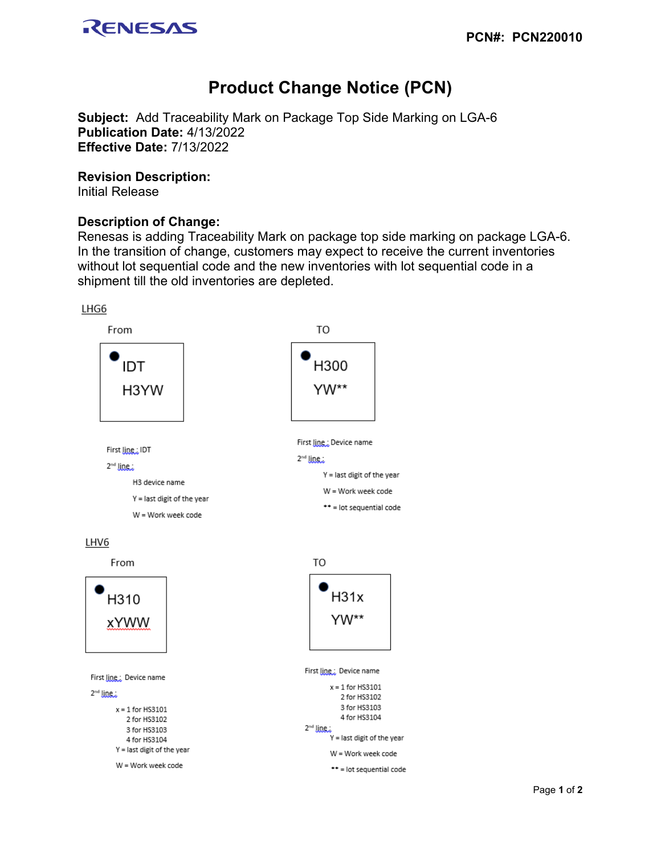

# **Product Change Notice (PCN)**

**Subject:** Add Traceability Mark on Package Top Side Marking on LGA-6 **Publication Date:** 4/13/2022 **Effective Date:** 7/13/2022

#### **Revision Description:**

Initial Release

## **Description of Change:**

Renesas is adding Traceability Mark on package top side marking on package LGA-6. In the transition of change, customers may expect to receive the current inventories without lot sequential code and the new inventories with lot sequential code in a shipment till the old inventories are depleted.